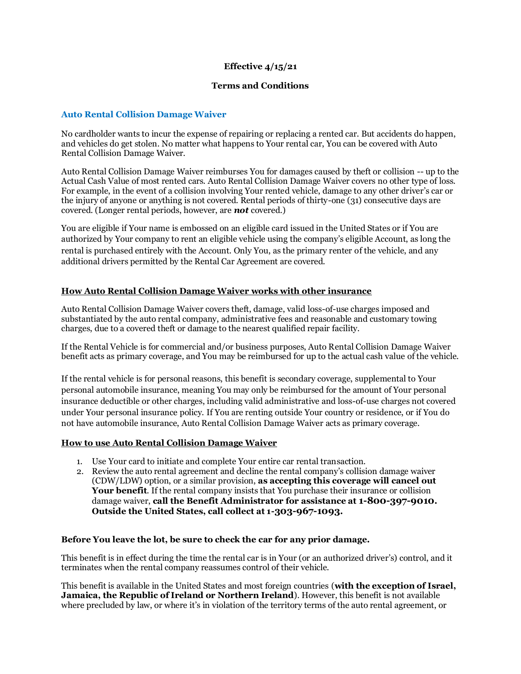## **Effective 4/15/21**

## **Terms and Conditions**

## **Auto Rental Collision Damage Waiver**

No cardholder wants to incur the expense of repairing or replacing a rented car. But accidents do happen, and vehicles do get stolen. No matter what happens to Your rental car, You can be covered with Auto Rental Collision Damage Waiver.

Auto Rental Collision Damage Waiver reimburses You for damages caused by theft or collision -- up to the Actual Cash Value of most rented cars. Auto Rental Collision Damage Waiver covers no other type of loss. For example, in the event of a collision involving Your rented vehicle, damage to any other driver's car or the injury of anyone or anything is not covered. Rental periods of thirty-one (31) consecutive days are covered. (Longer rental periods, however, are *not* covered.)

You are eligible if Your name is embossed on an eligible card issued in the United States or if You are authorized by Your company to rent an eligible vehicle using the company's eligible Account, as long the rental is purchased entirely with the Account. Only You, as the primary renter of the vehicle, and any additional drivers permitted by the Rental Car Agreement are covered.

### **How Auto Rental Collision Damage Waiver works with other insurance**

Auto Rental Collision Damage Waiver covers theft, damage, valid loss-of-use charges imposed and substantiated by the auto rental company, administrative fees and reasonable and customary towing charges, due to a covered theft or damage to the nearest qualified repair facility.

If the Rental Vehicle is for commercial and/or business purposes, Auto Rental Collision Damage Waiver benefit acts as primary coverage, and You may be reimbursed for up to the actual cash value of the vehicle.

If the rental vehicle is for personal reasons, this benefit is secondary coverage, supplemental to Your personal automobile insurance, meaning You may only be reimbursed for the amount of Your personal insurance deductible or other charges, including valid administrative and loss-of-use charges not covered under Your personal insurance policy. If You are renting outside Your country or residence, or if You do not have automobile insurance, Auto Rental Collision Damage Waiver acts as primary coverage.

### **How to use Auto Rental Collision Damage Waiver**

- 1. Use Your card to initiate and complete Your entire car rental transaction.
- 2. Review the auto rental agreement and decline the rental company's collision damage waiver (CDW/LDW) option, or a similar provision, **as accepting this coverage will cancel out Your benefit**. If the rental company insists that You purchase their insurance or collision damage waiver, **call the Benefit Administrator for assistance at 1-800-397-9010. Outside the United States, call collect at 1-303-967-1093.**

#### **Before You leave the lot, be sure to check the car for any prior damage.**

This benefit is in effect during the time the rental car is in Your (or an authorized driver's) control, and it terminates when the rental company reassumes control of their vehicle.

This benefit is available in the United States and most foreign countries (**with the exception of Israel, Jamaica, the Republic of Ireland or Northern Ireland**). However, this benefit is not available where precluded by law, or where it's in violation of the territory terms of the auto rental agreement, or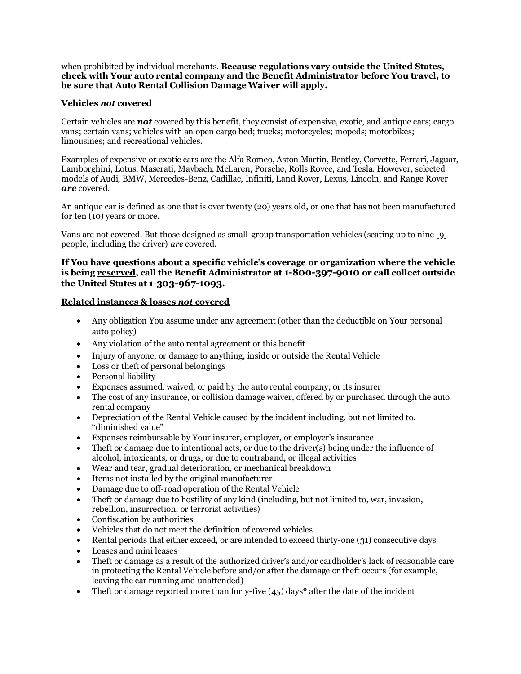when prohibited by individual merchants. **Because regulations vary outside the United States, check with Your auto rental company and the Benefit Administrator before You travel, to be sure that Auto Rental Collision Damage Waiver will apply.**

## **Vehicles** *not* **covered**

Certain vehicles are *not* covered by this benefit, they consist of expensive, exotic, and antique cars; cargo vans; certain vans; vehicles with an open cargo bed; trucks; motorcycles; mopeds; motorbikes; limousines; and recreational vehicles.

Examples of expensive or exotic cars are the Alfa Romeo, Aston Martin, Bentley, Corvette, Ferrari, Jaguar, Lamborghini, Lotus, Maserati, Maybach, McLaren, Porsche, Rolls Royce, and Tesla. However, selected models of Audi, BMW, Mercedes-Benz, Cadillac, Infiniti, Land Rover, Lexus, Lincoln, and Range Rover *are* covered.

An antique car is defined as one that is over twenty (20) years old, or one that has not been manufactured for ten (10) years or more.

Vans are not covered. But those designed as small-group transportation vehicles (seating up to nine [9] people, including the driver) *are* covered.

## **If You have questions about a specific vehicle's coverage or organization where the vehicle is being reserved, call the Benefit Administrator at 1-800-397-9010 or call collect outside the United States at 1-303-967-1093.**

## **Related instances & losses** *not* **covered**

- Any obligation You assume under any agreement (other than the deductible on Your personal auto policy)
- Any violation of the auto rental agreement or this benefit
- Injury of anyone, or damage to anything, inside or outside the Rental Vehicle
- Loss or theft of personal belongings
- Personal liability
- Expenses assumed, waived, or paid by the auto rental company, or its insurer
- The cost of any insurance, or collision damage waiver, offered by or purchased through the auto rental company
- Depreciation of the Rental Vehicle caused by the incident including, but not limited to, "diminished value"
- Expenses reimbursable by Your insurer, employer, or employer's insurance
- Theft or damage due to intentional acts, or due to the driver(s) being under the influence of alcohol, intoxicants, or drugs, or due to contraband, or illegal activities
- Wear and tear, gradual deterioration, or mechanical breakdown
- Items not installed by the original manufacturer
- Damage due to off-road operation of the Rental Vehicle
- Theft or damage due to hostility of any kind (including, but not limited to, war, invasion, rebellion, insurrection, or terrorist activities)
- Confiscation by authorities
- Vehicles that do not meet the definition of covered vehicles
- Rental periods that either exceed, or are intended to exceed thirty-one (31) consecutive days
- Leases and mini leases
- Theft or damage as a result of the authorized driver's and/or cardholder's lack of reasonable care in protecting the Rental Vehicle before and/or after the damage or theft occurs (for example, leaving the car running and unattended)
- Theft or damage reported more than forty-five  $(45)$  days\* after the date of the incident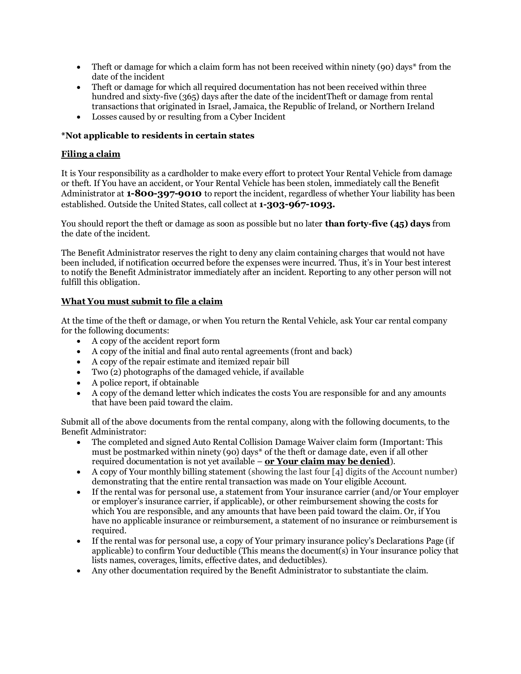- Theft or damage for which a claim form has not been received within ninety (90) days\* from the date of the incident
- Theft or damage for which all required documentation has not been received within three hundred and sixty-five (365) days after the date of the incidentTheft or damage from rental transactions that originated in Israel, Jamaica, the Republic of Ireland, or Northern Ireland
- Losses caused by or resulting from a Cyber Incident

# **\*Not applicable to residents in certain states**

# **Filing a claim**

It is Your responsibility as a cardholder to make every effort to protect Your Rental Vehicle from damage or theft. If You have an accident, or Your Rental Vehicle has been stolen, immediately call the Benefit Administrator at **1-800-397-9010** to report the incident, regardless of whether Your liability has been established. Outside the United States, call collect at **1-303-967-1093.**

You should report the theft or damage as soon as possible but no later **than forty-five (45) days** from the date of the incident.

The Benefit Administrator reserves the right to deny any claim containing charges that would not have been included, if notification occurred before the expenses were incurred. Thus, it's in Your best interest to notify the Benefit Administrator immediately after an incident. Reporting to any other person will not fulfill this obligation.

# **What You must submit to file a claim**

At the time of the theft or damage, or when You return the Rental Vehicle, ask Your car rental company for the following documents:

- A copy of the accident report form
- A copy of the initial and final auto rental agreements (front and back)
- A copy of the repair estimate and itemized repair bill
- Two (2) photographs of the damaged vehicle, if available
- A police report, if obtainable
- A copy of the demand letter which indicates the costs You are responsible for and any amounts that have been paid toward the claim.

Submit all of the above documents from the rental company, along with the following documents, to the Benefit Administrator:

- The completed and signed Auto Rental Collision Damage Waiver claim form (Important: This must be postmarked within ninety (90) days\* of the theft or damage date, even if all other required documentation is not yet available – **or Your claim may be denied**).
- A copy of Your monthly billing statement (showing the last four [4] digits of the Account number) demonstrating that the entire rental transaction was made on Your eligible Account.
- If the rental was for personal use, a statement from Your insurance carrier (and/or Your employer or employer's insurance carrier, if applicable), or other reimbursement showing the costs for which You are responsible, and any amounts that have been paid toward the claim. Or, if You have no applicable insurance or reimbursement, a statement of no insurance or reimbursement is required.
- If the rental was for personal use, a copy of Your primary insurance policy's Declarations Page (if applicable) to confirm Your deductible (This means the document(s) in Your insurance policy that lists names, coverages, limits, effective dates, and deductibles).
- Any other documentation required by the Benefit Administrator to substantiate the claim.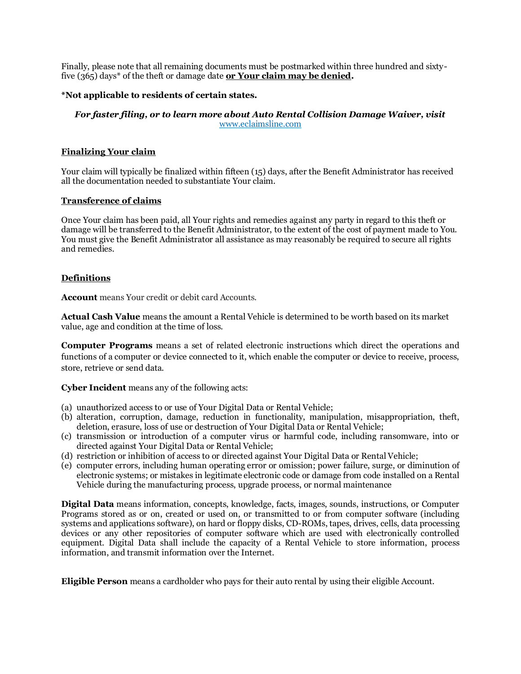Finally, please note that all remaining documents must be postmarked within three hundred and sixtyfive (365) days<sup>\*</sup> of the theft or damage date **or Your claim may be denied.** 

## **\*Not applicable to residents of certain states.**

### *For faster filing, or to learn more about Auto Rental Collision Damage Waiver, visit*  [www.eclaimsline.com](http://www.eclaimsline.com/)

### **Finalizing Your claim**

Your claim will typically be finalized within fifteen (15) days, after the Benefit Administrator has received all the documentation needed to substantiate Your claim.

### **Transference of claims**

Once Your claim has been paid, all Your rights and remedies against any party in regard to this theft or damage will be transferred to the Benefit Administrator, to the extent of the cost of payment made to You. You must give the Benefit Administrator all assistance as may reasonably be required to secure all rights and remedies.

#### **Definitions**

**Account** means Your credit or debit card Accounts.

**Actual Cash Value** means the amount a Rental Vehicle is determined to be worth based on its market value, age and condition at the time of loss.

**Computer Programs** means a set of related electronic instructions which direct the operations and functions of a computer or device connected to it, which enable the computer or device to receive, process, store, retrieve or send data.

**Cyber Incident** means any of the following acts:

- (a) unauthorized access to or use of Your Digital Data or Rental Vehicle;
- (b) alteration, corruption, damage, reduction in functionality, manipulation, misappropriation, theft, deletion, erasure, loss of use or destruction of Your Digital Data or Rental Vehicle;
- (c) transmission or introduction of a computer virus or harmful code, including ransomware, into or directed against Your Digital Data or Rental Vehicle;
- (d) restriction or inhibition of access to or directed against Your Digital Data or Rental Vehicle;
- (e) computer errors, including human operating error or omission; power failure, surge, or diminution of electronic systems; or mistakes in legitimate electronic code or damage from code installed on a Rental Vehicle during the manufacturing process, upgrade process, or normal maintenance

**Digital Data** means information, concepts, knowledge, facts, images, sounds, instructions, or Computer Programs stored as or on, created or used on, or transmitted to or from computer software (including systems and applications software), on hard or floppy disks, CD-ROMs, tapes, drives, cells, data processing devices or any other repositories of computer software which are used with electronically controlled equipment. Digital Data shall include the capacity of a Rental Vehicle to store information, process information, and transmit information over the Internet.

**Eligible Person** means a cardholder who pays for their auto rental by using their eligible Account.